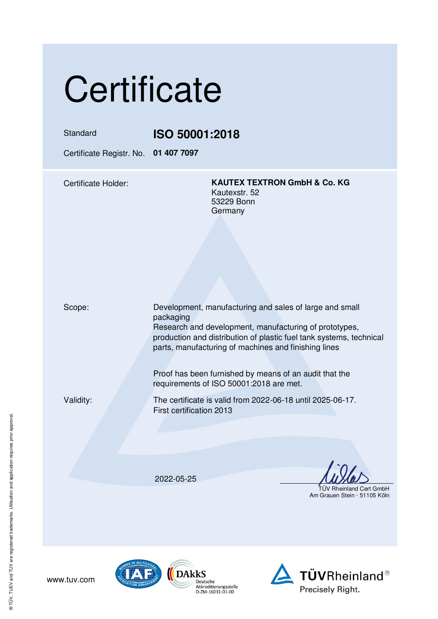## **Certificate**

Standard **ISO 50001:2018** 

Certificate Registr. No. **01 407 7097** 

Certificate Holder: **KAUTEX TEXTRON GmbH & Co. KG** Kautexstr. 52 53229 Bonn Germany

Scope: Development, manufacturing and sales of large and small packaging Research and development, manufacturing of prototypes, production and distribution of plastic fuel tank systems, technical parts, manufacturing of machines and finishing lines

> Proof has been furnished by means of an audit that the requirements of ISO 50001:2018 are met.

www.tuv.com

Validity: The certificate is valid from 2022-06-18 until 2025-06-17. First certification 2013

2022-05-25

TÜV Rheinland Cert GmbH

Am Grauen Stein · 51105 Köln



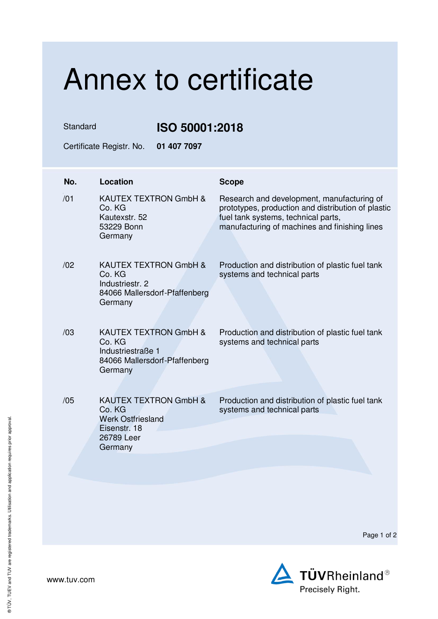## Annex to certificate

Standard **ISO 50001:2018** 

Certificate Registr. No. **01 407 7097** 

| No. | <b>Location</b>                                                                                                 | <b>Scope</b>                                                                                                                                                                             |
|-----|-----------------------------------------------------------------------------------------------------------------|------------------------------------------------------------------------------------------------------------------------------------------------------------------------------------------|
| /01 | KAUTEX TEXTRON GmbH &<br>Co. KG<br>Kautexstr, 52<br>53229 Bonn<br>Germany                                       | Research and development, manufacturing of<br>prototypes, production and distribution of plastic<br>fuel tank systems, technical parts,<br>manufacturing of machines and finishing lines |
| /02 | KAUTEX TEXTRON GmbH &<br>Co. KG<br>Industriestr. 2<br>84066 Mallersdorf-Pfaffenberg<br>Germany                  | Production and distribution of plastic fuel tank<br>systems and technical parts                                                                                                          |
| /03 | <b>KAUTEX TEXTRON GmbH &amp;</b><br>Co. KG<br>Industriestraße 1<br>84066 Mallersdorf-Pfaffenberg<br>Germany     | Production and distribution of plastic fuel tank<br>systems and technical parts                                                                                                          |
| /05 | <b>KAUTEX TEXTRON GmbH &amp;</b><br>Co. KG<br><b>Werk Ostfriesland</b><br>Eisenstr, 18<br>26789 Leer<br>Germany | Production and distribution of plastic fuel tank<br>systems and technical parts                                                                                                          |

Page 1 of 2



www.tuv.com